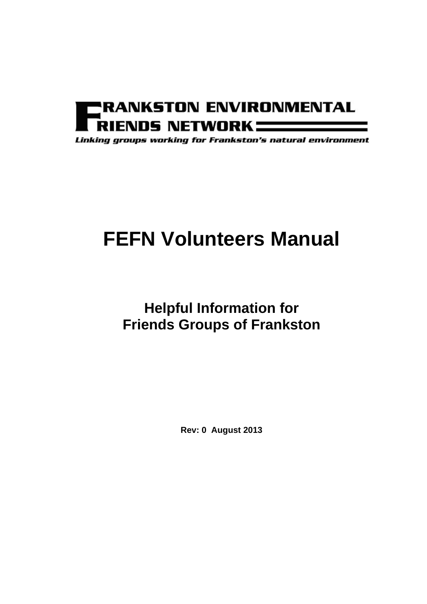

Linking groups working for Frankston's natural environment

# **FEFN Volunteers Manual**

# **Helpful Information for Friends Groups of Frankston**

**Rev: 0 August 2013**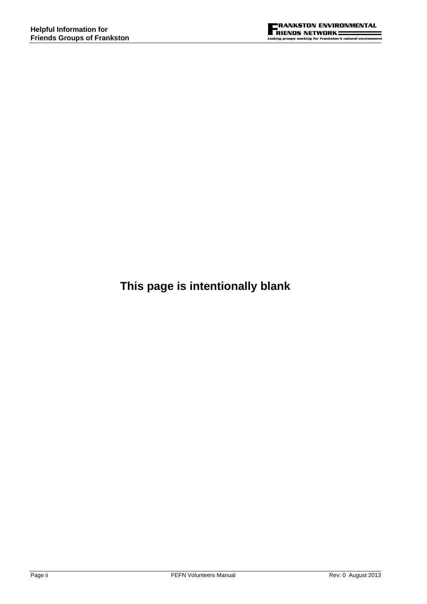

**This page is intentionally blank**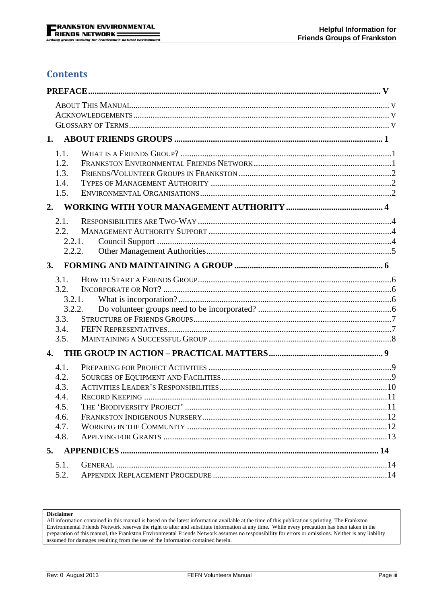# **Contents**

| 1.           |        |  |
|--------------|--------|--|
| 1.1.         |        |  |
| 1.2.         |        |  |
| 1.3.         |        |  |
| 1.4.         |        |  |
| 1.5.         |        |  |
| 2.           |        |  |
| 2.1.         |        |  |
| 2.2.         |        |  |
|              | 2.2.1. |  |
|              | 2.2.2. |  |
| 3.           |        |  |
| 3.1.         |        |  |
| 3.2.         |        |  |
|              | 3.2.1. |  |
|              | 3.2.2. |  |
| 3.3.         |        |  |
| 3.4.         |        |  |
| 3.5.         |        |  |
| 4.           |        |  |
| 4.1.         |        |  |
| 4.2.         |        |  |
| 4.3.<br>4.4. |        |  |
| 4.5.         |        |  |
| 4.6.         |        |  |
| 4.7.         |        |  |
| 4.8.         |        |  |
| 5.           |        |  |
| 5.1.         |        |  |
| 5.2.         |        |  |
|              |        |  |

**Disclaimer** 

All information contained in this manual is based on the latest information available at the time of this publication's printing. The Frankston Environmental Friends Network reserves the right to alter and substitute information at any time. While every precaution has been taken in the preparation of this manual, the Frankston Environmental Friends Network assumes no responsibility for errors or omissions. Neither is any liability assumed for damages resulting from the use of the information contained herein.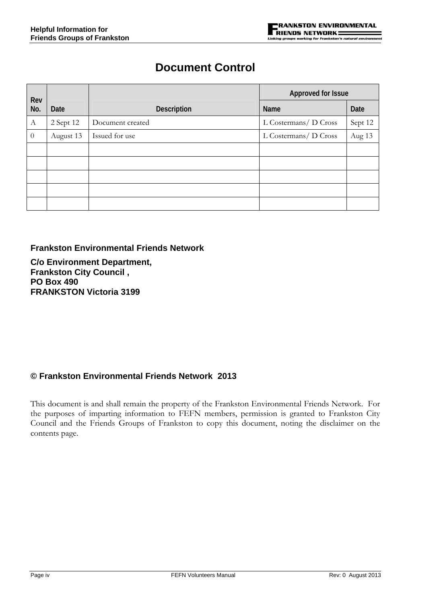# **Document Control**

| Rev              |           |                    | Approved for Issue    |         |
|------------------|-----------|--------------------|-----------------------|---------|
| No.              | Date      | <b>Description</b> | Name                  | Date    |
| $\boldsymbol{A}$ | 2 Sept 12 | Document created   | L Costermans/ D Cross | Sept 12 |
| $\theta$         | August 13 | Issued for use     | L Costermans/ D Cross | Aug 13  |
|                  |           |                    |                       |         |
|                  |           |                    |                       |         |
|                  |           |                    |                       |         |
|                  |           |                    |                       |         |
|                  |           |                    |                       |         |

#### **Frankston Environmental Friends Network**

**C/o Environment Department, Frankston City Council , PO Box 490 FRANKSTON Victoria 3199** 

#### **© Frankston Environmental Friends Network 2013**

This document is and shall remain the property of the Frankston Environmental Friends Network. For the purposes of imparting information to FEFN members, permission is granted to Frankston City Council and the Friends Groups of Frankston to copy this document, noting the disclaimer on the contents page.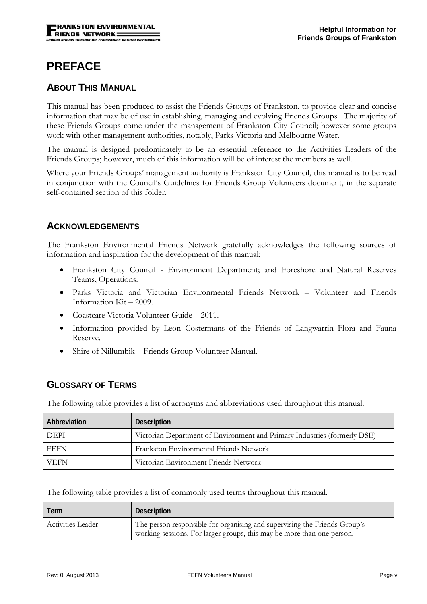# **PREFACE**

#### **ABOUT THIS MANUAL**

This manual has been produced to assist the Friends Groups of Frankston, to provide clear and concise information that may be of use in establishing, managing and evolving Friends Groups. The majority of these Friends Groups come under the management of Frankston City Council; however some groups work with other management authorities, notably, Parks Victoria and Melbourne Water.

The manual is designed predominately to be an essential reference to the Activities Leaders of the Friends Groups; however, much of this information will be of interest the members as well.

Where your Friends Groups' management authority is Frankston City Council, this manual is to be read in conjunction with the Council's Guidelines for Friends Group Volunteers document, in the separate self-contained section of this folder.

#### **ACKNOWLEDGEMENTS**

The Frankston Environmental Friends Network gratefully acknowledges the following sources of information and inspiration for the development of this manual:

- Frankston City Council Environment Department; and Foreshore and Natural Reserves Teams, Operations.
- Parks Victoria and Victorian Environmental Friends Network Volunteer and Friends Information Kit – 2009.
- Coastcare Victoria Volunteer Guide 2011.
- Information provided by Leon Costermans of the Friends of Langwarrin Flora and Fauna Reserve.
- Shire of Nillumbik Friends Group Volunteer Manual.

#### **GLOSSARY OF TERMS**

The following table provides a list of acronyms and abbreviations used throughout this manual.

| Abbreviation | <b>Description</b>                                                        |
|--------------|---------------------------------------------------------------------------|
| <b>DEPI</b>  | Victorian Department of Environment and Primary Industries (formerly DSE) |
| FEFN         | Frankston Environmental Friends Network                                   |
| <b>VEFN</b>  | Victorian Environment Friends Network                                     |

The following table provides a list of commonly used terms throughout this manual.

| Term                     | Description                                                                                                                                         |
|--------------------------|-----------------------------------------------------------------------------------------------------------------------------------------------------|
| <b>Activities Leader</b> | The person responsible for organising and supervising the Friends Group's<br>working sessions. For larger groups, this may be more than one person. |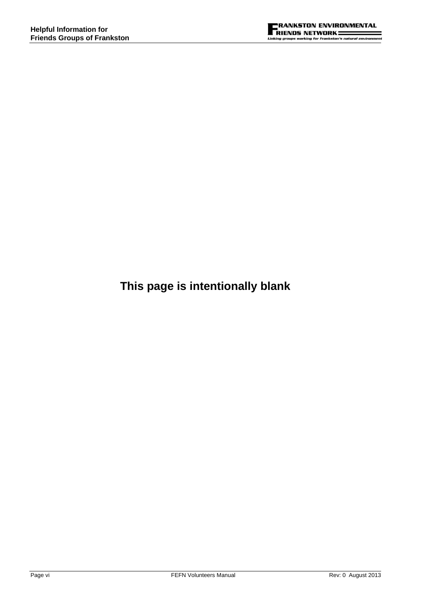

**This page is intentionally blank**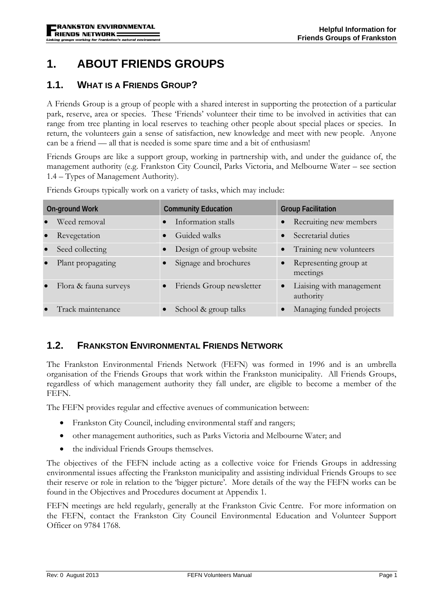# **1. ABOUT FRIENDS GROUPS**

# **1.1. WHAT IS A FRIENDS GROUP?**

A Friends Group is a group of people with a shared interest in supporting the protection of a particular park, reserve, area or species. These 'Friends' volunteer their time to be involved in activities that can range from tree planting in local reserves to teaching other people about special places or species. In return, the volunteers gain a sense of satisfaction, new knowledge and meet with new people. Anyone can be a friend — all that is needed is some spare time and a bit of enthusiasm!

Friends Groups are like a support group, working in partnership with, and under the guidance of, the management authority (e.g. Frankston City Council, Parks Victoria, and Melbourne Water – see section 1.4 – Types of Management Authority).

| <b>On-ground Work</b>        | <b>Community Education</b> | <b>Group Facilitation</b>                          |  |
|------------------------------|----------------------------|----------------------------------------------------|--|
| Weed removal<br>$\bullet$    | Information stalls         | Recruiting new members                             |  |
| Revegetation                 | Guided walks               | Secretarial duties                                 |  |
| Seed collecting<br>$\bullet$ | Design of group website    | • Training new volunteers                          |  |
| Plant propagating            | Signage and brochures      | Representing group at<br>meetings                  |  |
| Flora & fauna surveys        | Friends Group newsletter   | Liaising with management<br>$\bullet$<br>authority |  |
| Track maintenance            | School & group talks       | Managing funded projects                           |  |

Friends Groups typically work on a variety of tasks, which may include:

## **1.2. FRANKSTON ENVIRONMENTAL FRIENDS NETWORK**

The Frankston Environmental Friends Network (FEFN) was formed in 1996 and is an umbrella organisation of the Friends Groups that work within the Frankston municipality. All Friends Groups, regardless of which management authority they fall under, are eligible to become a member of the FEFN.

The FEFN provides regular and effective avenues of communication between:

- Frankston City Council, including environmental staff and rangers;
- other management authorities, such as Parks Victoria and Melbourne Water; and
- the individual Friends Groups themselves.

The objectives of the FEFN include acting as a collective voice for Friends Groups in addressing environmental issues affecting the Frankston municipality and assisting individual Friends Groups to see their reserve or role in relation to the 'bigger picture'. More details of the way the FEFN works can be found in the Objectives and Procedures document at Appendix 1.

FEFN meetings are held regularly, generally at the Frankston Civic Centre. For more information on the FEFN, contact the Frankston City Council Environmental Education and Volunteer Support Officer on 9784 1768.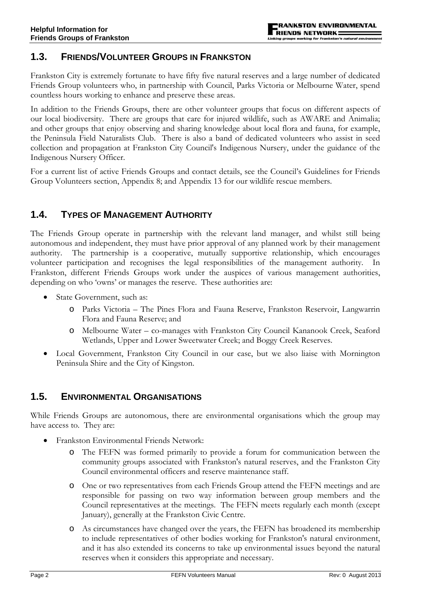## **1.3. FRIENDS/VOLUNTEER GROUPS IN FRANKSTON**

Frankston City is extremely fortunate to have fifty five natural reserves and a large number of dedicated Friends Group volunteers who, in partnership with Council, Parks Victoria or Melbourne Water, spend countless hours working to enhance and preserve these areas.

In addition to the Friends Groups, there are other volunteer groups that focus on different aspects of our local biodiversity. There are groups that care for injured wildlife, such as AWARE and Animalia; and other groups that enjoy observing and sharing knowledge about local flora and fauna, for example, the Peninsula Field Naturalists Club. There is also a band of dedicated volunteers who assist in seed collection and propagation at Frankston City Council's Indigenous Nursery, under the guidance of the Indigenous Nursery Officer.

For a current list of active Friends Groups and contact details, see the Council's Guidelines for Friends Group Volunteers section, Appendix 8; and Appendix 13 for our wildlife rescue members.

## **1.4. TYPES OF MANAGEMENT AUTHORITY**

The Friends Group operate in partnership with the relevant land manager, and whilst still being autonomous and independent, they must have prior approval of any planned work by their management authority. The partnership is a cooperative, mutually supportive relationship, which encourages volunteer participation and recognises the legal responsibilities of the management authority. In Frankston, different Friends Groups work under the auspices of various management authorities, depending on who 'owns' or manages the reserve. These authorities are:

- State Government, such as:
	- o Parks Victoria The Pines Flora and Fauna Reserve, Frankston Reservoir, Langwarrin Flora and Fauna Reserve; and
	- o Melbourne Water co-manages with Frankston City Council Kananook Creek, Seaford Wetlands, Upper and Lower Sweetwater Creek; and Boggy Creek Reserves.
- Local Government, Frankston City Council in our case, but we also liaise with Mornington Peninsula Shire and the City of Kingston.

#### **1.5. ENVIRONMENTAL ORGANISATIONS**

While Friends Groups are autonomous, there are environmental organisations which the group may have access to. They are:

- Frankston Environmental Friends Network:
	- o The FEFN was formed primarily to provide a forum for communication between the community groups associated with Frankston's natural reserves, and the Frankston City Council environmental officers and reserve maintenance staff.
	- o One or two representatives from each Friends Group attend the FEFN meetings and are responsible for passing on two way information between group members and the Council representatives at the meetings. The FEFN meets regularly each month (except January), generally at the Frankston Civic Centre.
	- o As circumstances have changed over the years, the FEFN has broadened its membership to include representatives of other bodies working for Frankston's natural environment, and it has also extended its concerns to take up environmental issues beyond the natural reserves when it considers this appropriate and necessary.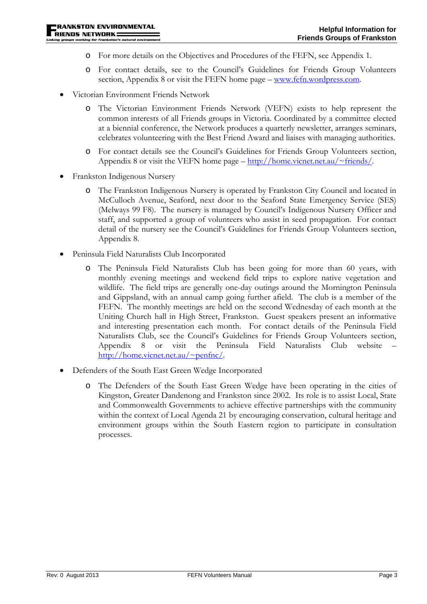- o For more details on the Objectives and Procedures of the FEFN, see Appendix 1.
- o For contact details, see to the Council's Guidelines for Friends Group Volunteers section, Appendix 8 or visit the FEFN home page – www.fefn.wordpress.com.
- Victorian Environment Friends Network
	- o The Victorian Environment Friends Network (VEFN) exists to help represent the common interests of all Friends groups in Victoria. Coordinated by a committee elected at a biennial conference, the Network produces a quarterly newsletter, arranges seminars, celebrates volunteering with the Best Friend Award and liaises with managing authorities.
	- o For contact details see the Council's Guidelines for Friends Group Volunteers section, Appendix 8 or visit the VEFN home page  $-$  http://home.vicnet.net.au/ $\sim$ friends/.
- Frankston Indigenous Nursery
	- o The Frankston Indigenous Nursery is operated by Frankston City Council and located in McCulloch Avenue, Seaford, next door to the Seaford State Emergency Service (SES) (Melways 99 F8). The nursery is managed by Council's Indigenous Nursery Officer and staff, and supported a group of volunteers who assist in seed propagation. For contact detail of the nursery see the Council's Guidelines for Friends Group Volunteers section, Appendix 8.
- Peninsula Field Naturalists Club Incorporated
	- o The Peninsula Field Naturalists Club has been going for more than 60 years, with monthly evening meetings and weekend field trips to explore native vegetation and wildlife. The field trips are generally one-day outings around the Mornington Peninsula and Gippsland, with an annual camp going further afield. The club is a member of the FEFN. The monthly meetings are held on the second Wednesday of each month at the Uniting Church hall in High Street, Frankston. Guest speakers present an informative and interesting presentation each month. For contact details of the Peninsula Field Naturalists Club, see the Council's Guidelines for Friends Group Volunteers section, Appendix 8 or visit the Peninsula Field Naturalists Club website – http://home.vicnet.net.au/~penfnc/.
- Defenders of the South East Green Wedge Incorporated
	- o The Defenders of the South East Green Wedge have been operating in the cities of Kingston, Greater Dandenong and Frankston since 2002. Its role is to assist Local, State and Commonwealth Governments to achieve effective partnerships with the community within the context of Local Agenda 21 by encouraging conservation, cultural heritage and environment groups within the South Eastern region to participate in consultation processes.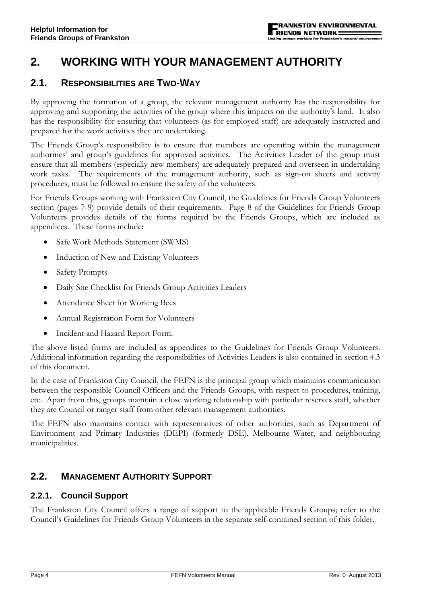# **2. WORKING WITH YOUR MANAGEMENT AUTHORITY**

## **2.1. RESPONSIBILITIES ARE TWO-WAY**

By approving the formation of a group, the relevant management authority has the responsibility for approving and supporting the activities of the group where this impacts on the authority's land. It also has the responsibility for ensuring that volunteers (as for employed staff) are adequately instructed and prepared for the work activities they are undertaking.

The Friends Group's responsibility is to ensure that members are operating within the management authorities' and group's guidelines for approved activities. The Activities Leader of the group must ensure that all members (especially new members) are adequately prepared and overseen in undertaking work tasks. The requirements of the management authority, such as sign-on sheets and activity procedures, must be followed to ensure the safety of the volunteers.

For Friends Groups working with Frankston City Council, the Guidelines for Friends Group Volunteers section (pages 7-9) provide details of their requirements. Page 8 of the Guidelines for Friends Group Volunteers provides details of the forms required by the Friends Groups, which are included as appendices. These forms include:

- Safe Work Methods Statement (SWMS)
- Induction of New and Existing Volunteers
- Safety Prompts
- Daily Site Checklist for Friends Group Activities Leaders
- Attendance Sheet for Working Bees
- Annual Registration Form for Volunteers
- Incident and Hazard Report Form.

The above listed forms are included as appendices to the Guidelines for Friends Group Volunteers. Additional information regarding the responsibilities of Activities Leaders is also contained in section 4.3 of this document.

In the case of Frankston City Council, the FEFN is the principal group which maintains communication between the responsible Council Officers and the Friends Groups, with respect to procedures, training, etc. Apart from this, groups maintain a close working relationship with particular reserves staff, whether they are Council or ranger staff from other relevant management authorities.

The FEFN also maintains contact with representatives of other authorities, such as Department of Environment and Primary Industries (DEPI) (formerly DSE), Melbourne Water, and neighbouring municipalities.

## **2.2. MANAGEMENT AUTHORITY SUPPORT**

#### **2.2.1. Council Support**

The Frankston City Council offers a range of support to the applicable Friends Groups; refer to the Council's Guidelines for Friends Group Volunteers in the separate self-contained section of this folder.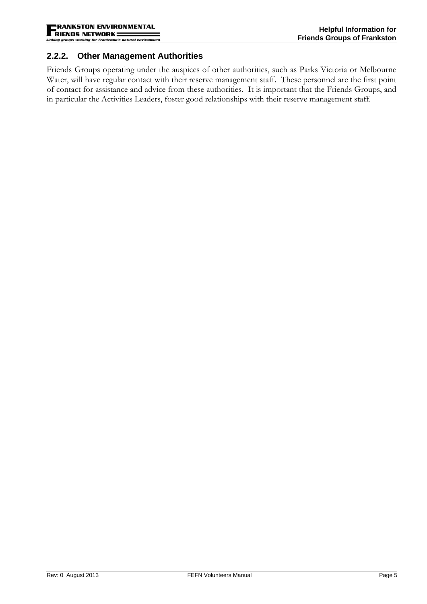#### **2.2.2. Other Management Authorities**

Friends Groups operating under the auspices of other authorities, such as Parks Victoria or Melbourne Water, will have regular contact with their reserve management staff. These personnel are the first point of contact for assistance and advice from these authorities. It is important that the Friends Groups, and in particular the Activities Leaders, foster good relationships with their reserve management staff.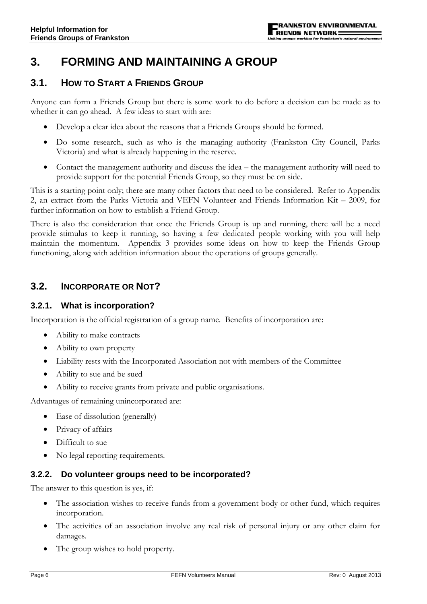# **3. FORMING AND MAINTAINING A GROUP**

## **3.1. HOW TO START A FRIENDS GROUP**

Anyone can form a Friends Group but there is some work to do before a decision can be made as to whether it can go ahead. A few ideas to start with are:

- Develop a clear idea about the reasons that a Friends Groups should be formed.
- Do some research, such as who is the managing authority (Frankston City Council, Parks Victoria) and what is already happening in the reserve.
- Contact the management authority and discuss the idea the management authority will need to provide support for the potential Friends Group, so they must be on side.

This is a starting point only; there are many other factors that need to be considered. Refer to Appendix 2, an extract from the Parks Victoria and VEFN Volunteer and Friends Information Kit – 2009, for further information on how to establish a Friend Group.

There is also the consideration that once the Friends Group is up and running, there will be a need provide stimulus to keep it running, so having a few dedicated people working with you will help maintain the momentum. Appendix 3 provides some ideas on how to keep the Friends Group functioning, along with addition information about the operations of groups generally.

# **3.2. INCORPORATE OR NOT?**

#### **3.2.1. What is incorporation?**

Incorporation is the official registration of a group name. Benefits of incorporation are:

- Ability to make contracts
- Ability to own property
- Liability rests with the Incorporated Association not with members of the Committee
- Ability to sue and be sued
- Ability to receive grants from private and public organisations.

Advantages of remaining unincorporated are:

- Ease of dissolution (generally)
- Privacy of affairs
- Difficult to sue
- No legal reporting requirements.

#### **3.2.2. Do volunteer groups need to be incorporated?**

The answer to this question is yes, if:

- The association wishes to receive funds from a government body or other fund, which requires incorporation.
- The activities of an association involve any real risk of personal injury or any other claim for damages.
- The group wishes to hold property.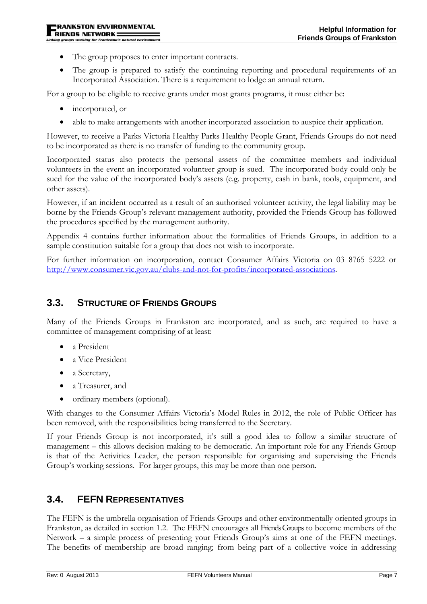- The group proposes to enter important contracts.
- The group is prepared to satisfy the continuing reporting and procedural requirements of an Incorporated Association. There is a requirement to lodge an annual return.

For a group to be eligible to receive grants under most grants programs, it must either be:

- incorporated, or
- able to make arrangements with another incorporated association to auspice their application.

However, to receive a Parks Victoria Healthy Parks Healthy People Grant, Friends Groups do not need to be incorporated as there is no transfer of funding to the community group.

Incorporated status also protects the personal assets of the committee members and individual volunteers in the event an incorporated volunteer group is sued. The incorporated body could only be sued for the value of the incorporated body's assets (e.g. property, cash in bank, tools, equipment, and other assets).

However, if an incident occurred as a result of an authorised volunteer activity, the legal liability may be borne by the Friends Group's relevant management authority, provided the Friends Group has followed the procedures specified by the management authority.

Appendix 4 contains further information about the formalities of Friends Groups, in addition to a sample constitution suitable for a group that does not wish to incorporate.

For further information on incorporation, contact Consumer Affairs Victoria on 03 8765 5222 or http://www.consumer.vic.gov.au/clubs-and-not-for-profits/incorporated-associations.

#### **3.3. STRUCTURE OF FRIENDS GROUPS**

Many of the Friends Groups in Frankston are incorporated, and as such, are required to have a committee of management comprising of at least:

- a President
- a Vice President
- a Secretary,
- a Treasurer, and
- ordinary members (optional).

With changes to the Consumer Affairs Victoria's Model Rules in 2012, the role of Public Officer has been removed, with the responsibilities being transferred to the Secretary.

If your Friends Group is not incorporated, it's still a good idea to follow a similar structure of management – this allows decision making to be democratic. An important role for any Friends Group is that of the Activities Leader, the person responsible for organising and supervising the Friends Group's working sessions. For larger groups, this may be more than one person.

#### **3.4. FEFN REPRESENTATIVES**

The FEFN is the umbrella organisation of Friends Groups and other environmentally oriented groups in Frankston, as detailed in section 1.2. The FEFN encourages all Friends Groups to become members of the Network – a simple process of presenting your Friends Group's aims at one of the FEFN meetings. The benefits of membership are broad ranging; from being part of a collective voice in addressing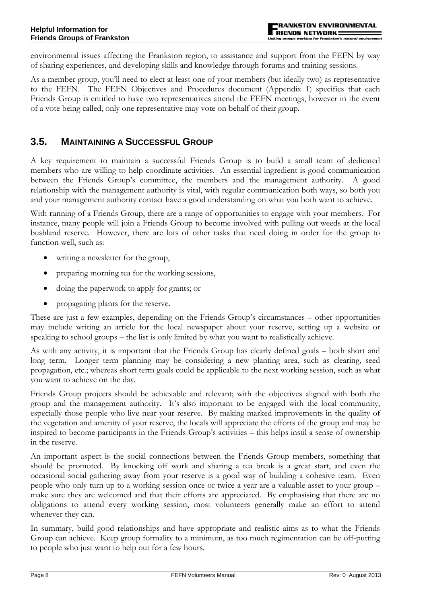environmental issues affecting the Frankston region, to assistance and support from the FEFN by way of sharing experiences, and developing skills and knowledge through forums and training sessions.

As a member group, you'll need to elect at least one of your members (but ideally two) as representative to the FEFN. The FEFN Objectives and Procedures document (Appendix 1) specifies that each Friends Group is entitled to have two representatives attend the FEFN meetings, however in the event of a vote being called, only one representative may vote on behalf of their group.

## **3.5. MAINTAINING A SUCCESSFUL GROUP**

A key requirement to maintain a successful Friends Group is to build a small team of dedicated members who are willing to help coordinate activities. An essential ingredient is good communication between the Friends Group's committee, the members and the management authority. A good relationship with the management authority is vital, with regular communication both ways, so both you and your management authority contact have a good understanding on what you both want to achieve.

With running of a Friends Group, there are a range of opportunities to engage with your members. For instance, many people will join a Friends Group to become involved with pulling out weeds at the local bushland reserve. However, there are lots of other tasks that need doing in order for the group to function well, such as:

- writing a newsletter for the group,
- preparing morning tea for the working sessions,
- doing the paperwork to apply for grants; or
- propagating plants for the reserve.

These are just a few examples, depending on the Friends Group's circumstances – other opportunities may include writing an article for the local newspaper about your reserve, setting up a website or speaking to school groups – the list is only limited by what you want to realistically achieve.

As with any activity, it is important that the Friends Group has clearly defined goals – both short and long term. Longer term planning may be considering a new planting area, such as clearing, seed propagation, etc.; whereas short term goals could be applicable to the next working session, such as what you want to achieve on the day.

Friends Group projects should be achievable and relevant; with the objectives aligned with both the group and the management authority. It's also important to be engaged with the local community, especially those people who live near your reserve. By making marked improvements in the quality of the vegetation and amenity of your reserve, the locals will appreciate the efforts of the group and may be inspired to become participants in the Friends Group's activities – this helps instil a sense of ownership in the reserve.

An important aspect is the social connections between the Friends Group members, something that should be promoted. By knocking off work and sharing a tea break is a great start, and even the occasional social gathering away from your reserve is a good way of building a cohesive team. Even people who only turn up to a working session once or twice a year are a valuable asset to your group – make sure they are welcomed and that their efforts are appreciated. By emphasising that there are no obligations to attend every working session, most volunteers generally make an effort to attend whenever they can.

In summary, build good relationships and have appropriate and realistic aims as to what the Friends Group can achieve. Keep group formality to a minimum, as too much regimentation can be off-putting to people who just want to help out for a few hours.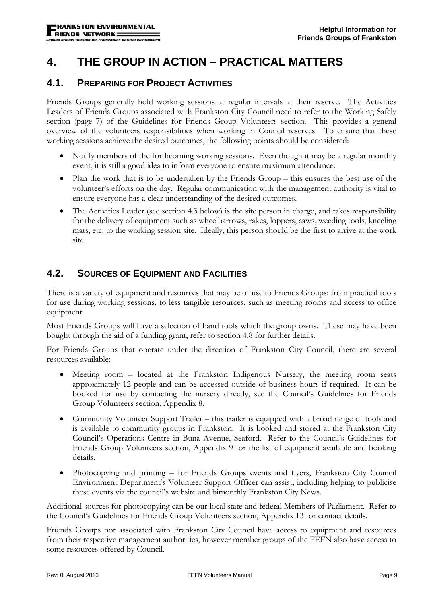# **4. THE GROUP IN ACTION – PRACTICAL MATTERS**

#### **4.1. PREPARING FOR PROJECT ACTIVITIES**

Friends Groups generally hold working sessions at regular intervals at their reserve. The Activities Leaders of Friends Groups associated with Frankston City Council need to refer to the Working Safely section (page 7) of the Guidelines for Friends Group Volunteers section. This provides a general overview of the volunteers responsibilities when working in Council reserves. To ensure that these working sessions achieve the desired outcomes, the following points should be considered:

- Notify members of the forthcoming working sessions. Even though it may be a regular monthly event, it is still a good idea to inform everyone to ensure maximum attendance.
- Plan the work that is to be undertaken by the Friends Group this ensures the best use of the volunteer's efforts on the day. Regular communication with the management authority is vital to ensure everyone has a clear understanding of the desired outcomes.
- The Activities Leader (see section 4.3 below) is the site person in charge, and takes responsibility for the delivery of equipment such as wheelbarrows, rakes, loppers, saws, weeding tools, kneeling mats, etc. to the working session site. Ideally, this person should be the first to arrive at the work site.

## **4.2. SOURCES OF EQUIPMENT AND FACILITIES**

There is a variety of equipment and resources that may be of use to Friends Groups: from practical tools for use during working sessions, to less tangible resources, such as meeting rooms and access to office equipment.

Most Friends Groups will have a selection of hand tools which the group owns. These may have been bought through the aid of a funding grant, refer to section 4.8 for further details.

For Friends Groups that operate under the direction of Frankston City Council, there are several resources available:

- Meeting room located at the Frankston Indigenous Nursery, the meeting room seats approximately 12 people and can be accessed outside of business hours if required. It can be booked for use by contacting the nursery directly, see the Council's Guidelines for Friends Group Volunteers section, Appendix 8.
- Community Volunteer Support Trailer this trailer is equipped with a broad range of tools and is available to community groups in Frankston. It is booked and stored at the Frankston City Council's Operations Centre in Buna Avenue, Seaford. Refer to the Council's Guidelines for Friends Group Volunteers section, Appendix 9 for the list of equipment available and booking details.
- Photocopying and printing for Friends Groups events and flyers, Frankston City Council Environment Department's Volunteer Support Officer can assist, including helping to publicise these events via the council's website and bimonthly Frankston City News.

Additional sources for photocopying can be our local state and federal Members of Parliament. Refer to the Council's Guidelines for Friends Group Volunteers section, Appendix 13 for contact details.

Friends Groups not associated with Frankston City Council have access to equipment and resources from their respective management authorities, however member groups of the FEFN also have access to some resources offered by Council.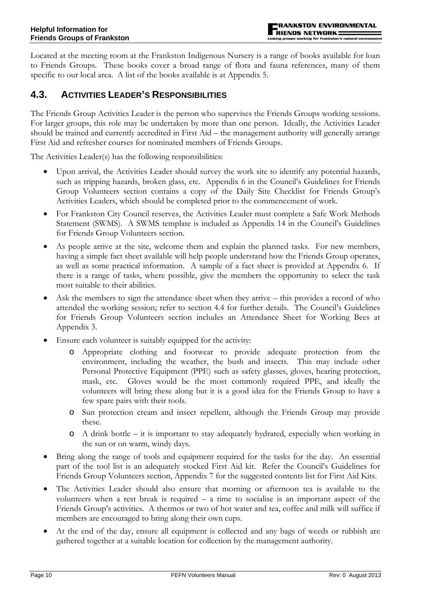Located at the meeting room at the Frankston Indigenous Nursery is a range of books available for loan to Friends Groups. These books cover a broad range of flora and fauna references, many of them specific to our local area. A list of the books available is at Appendix 5.

## **4.3. ACTIVITIES LEADER'S RESPONSIBILITIES**

The Friends Group Activities Leader is the person who supervises the Friends Groups working sessions. For larger groups, this role may be undertaken by more than one person. Ideally, the Activities Leader should be trained and currently accredited in First Aid – the management authority will generally arrange First Aid and refresher courses for nominated members of Friends Groups.

The Activities Leader(s) has the following responsibilities:

- Upon arrival, the Activities Leader should survey the work site to identify any potential hazards, such as tripping hazards, broken glass, etc. Appendix 6 in the Council's Guidelines for Friends Group Volunteers section contains a copy of the Daily Site Checklist for Friends Group's Activities Leaders, which should be completed prior to the commencement of work.
- For Frankston City Council reserves, the Activities Leader must complete a Safe Work Methods Statement (SWMS). A SWMS template is included as Appendix 14 in the Council's Guidelines for Friends Group Volunteers section.
- As people arrive at the site, welcome them and explain the planned tasks. For new members, having a simple fact sheet available will help people understand how the Friends Group operates, as well as some practical information. A sample of a fact sheet is provided at Appendix 6. If there is a range of tasks, where possible, give the members the opportunity to select the task most suitable to their abilities.
- Ask the members to sign the attendance sheet when they arrive this provides a record of who attended the working session; refer to section 4.4 for further details. The Council's Guidelines for Friends Group Volunteers section includes an Attendance Sheet for Working Bees at Appendix 3.
- Ensure each volunteer is suitably equipped for the activity:
	- o Appropriate clothing and footwear to provide adequate protection from the environment, including the weather, the bush and insects. This may include other Personal Protective Equipment (PPE) such as safety glasses, gloves, hearing protection, mask, etc. Gloves would be the most commonly required PPE, and ideally the volunteers will bring these along but it is a good idea for the Friends Group to have a few spare pairs with their tools.
	- o Sun protection cream and insect repellent, although the Friends Group may provide these.
	- o A drink bottle it is important to stay adequately hydrated, especially when working in the sun or on warm, windy days.
- Bring along the range of tools and equipment required for the tasks for the day. An essential part of the tool list is an adequately stocked First Aid kit. Refer the Council's Guidelines for Friends Group Volunteers section, Appendix 7 for the suggested contents list for First Aid Kits.
- The Activities Leader should also ensure that morning or afternoon tea is available to the volunteers when a rest break is required – a time to socialise is an important aspect of the Friends Group's activities. A thermos or two of hot water and tea, coffee and milk will suffice if members are encouraged to bring along their own cups.
- At the end of the day, ensure all equipment is collected and any bags of weeds or rubbish are gathered together at a suitable location for collection by the management authority.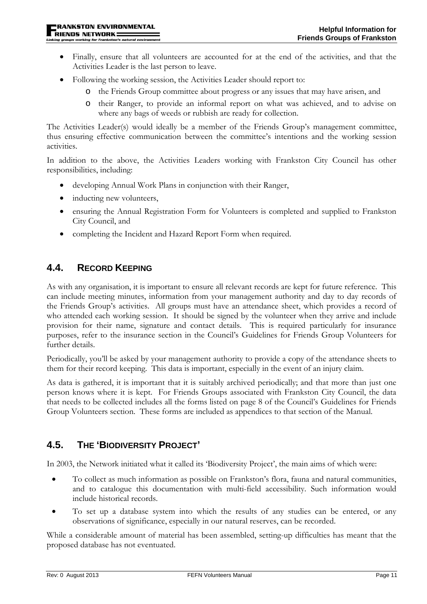- Finally, ensure that all volunteers are accounted for at the end of the activities, and that the Activities Leader is the last person to leave.
- Following the working session, the Activities Leader should report to:
	- o the Friends Group committee about progress or any issues that may have arisen, and
	- o their Ranger, to provide an informal report on what was achieved, and to advise on where any bags of weeds or rubbish are ready for collection.

The Activities Leader(s) would ideally be a member of the Friends Group's management committee, thus ensuring effective communication between the committee's intentions and the working session activities.

In addition to the above, the Activities Leaders working with Frankston City Council has other responsibilities, including:

- developing Annual Work Plans in conjunction with their Ranger,
- inducting new volunteers,
- ensuring the Annual Registration Form for Volunteers is completed and supplied to Frankston City Council, and
- completing the Incident and Hazard Report Form when required.

## **4.4. RECORD KEEPING**

As with any organisation, it is important to ensure all relevant records are kept for future reference. This can include meeting minutes, information from your management authority and day to day records of the Friends Group's activities. All groups must have an attendance sheet, which provides a record of who attended each working session. It should be signed by the volunteer when they arrive and include provision for their name, signature and contact details. This is required particularly for insurance purposes, refer to the insurance section in the Council's Guidelines for Friends Group Volunteers for further details.

Periodically, you'll be asked by your management authority to provide a copy of the attendance sheets to them for their record keeping. This data is important, especially in the event of an injury claim.

As data is gathered, it is important that it is suitably archived periodically; and that more than just one person knows where it is kept. For Friends Groups associated with Frankston City Council, the data that needs to be collected includes all the forms listed on page 8 of the Council's Guidelines for Friends Group Volunteers section. These forms are included as appendices to that section of the Manual.

## **4.5. THE 'BIODIVERSITY PROJECT'**

In 2003, the Network initiated what it called its 'Biodiversity Project', the main aims of which were:

- To collect as much information as possible on Frankston's flora, fauna and natural communities, and to catalogue this documentation with multi-field accessibility. Such information would include historical records.
- To set up a database system into which the results of any studies can be entered, or any observations of significance, especially in our natural reserves, can be recorded.

While a considerable amount of material has been assembled, setting-up difficulties has meant that the proposed database has not eventuated.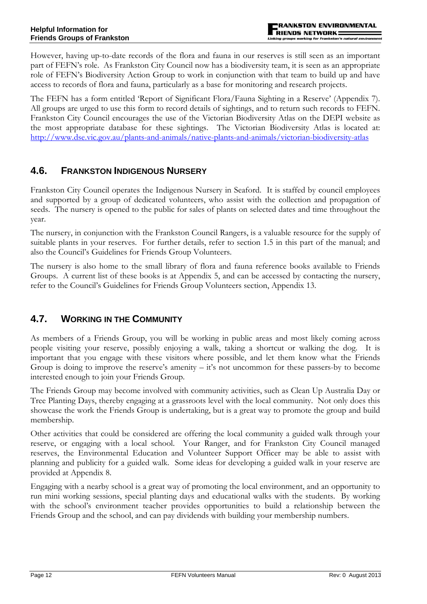However, having up-to-date records of the flora and fauna in our reserves is still seen as an important part of FEFN's role. As Frankston City Council now has a biodiversity team, it is seen as an appropriate role of FEFN's Biodiversity Action Group to work in conjunction with that team to build up and have access to records of flora and fauna, particularly as a base for monitoring and research projects.

The FEFN has a form entitled 'Report of Significant Flora/Fauna Sighting in a Reserve' (Appendix 7). All groups are urged to use this form to record details of sightings, and to return such records to FEFN. Frankston City Council encourages the use of the Victorian Biodiversity Atlas on the DEPI website as the most appropriate database for these sightings. The Victorian Biodiversity Atlas is located at: http://www.dse.vic.gov.au/plants-and-animals/native-plants-and-animals/victorian-biodiversity-atlas

## **4.6. FRANKSTON INDIGENOUS NURSERY**

Frankston City Council operates the Indigenous Nursery in Seaford. It is staffed by council employees and supported by a group of dedicated volunteers, who assist with the collection and propagation of seeds. The nursery is opened to the public for sales of plants on selected dates and time throughout the year.

The nursery, in conjunction with the Frankston Council Rangers, is a valuable resource for the supply of suitable plants in your reserves. For further details, refer to section 1.5 in this part of the manual; and also the Council's Guidelines for Friends Group Volunteers.

The nursery is also home to the small library of flora and fauna reference books available to Friends Groups. A current list of these books is at Appendix 5, and can be accessed by contacting the nursery, refer to the Council's Guidelines for Friends Group Volunteers section, Appendix 13.

## **4.7. WORKING IN THE COMMUNITY**

As members of a Friends Group, you will be working in public areas and most likely coming across people visiting your reserve, possibly enjoying a walk, taking a shortcut or walking the dog. It is important that you engage with these visitors where possible, and let them know what the Friends Group is doing to improve the reserve's amenity  $-i$  it's not uncommon for these passers-by to become interested enough to join your Friends Group.

The Friends Group may become involved with community activities, such as Clean Up Australia Day or Tree Planting Days, thereby engaging at a grassroots level with the local community. Not only does this showcase the work the Friends Group is undertaking, but is a great way to promote the group and build membership.

Other activities that could be considered are offering the local community a guided walk through your reserve, or engaging with a local school. Your Ranger, and for Frankston City Council managed reserves, the Environmental Education and Volunteer Support Officer may be able to assist with planning and publicity for a guided walk. Some ideas for developing a guided walk in your reserve are provided at Appendix 8.

Engaging with a nearby school is a great way of promoting the local environment, and an opportunity to run mini working sessions, special planting days and educational walks with the students. By working with the school's environment teacher provides opportunities to build a relationship between the Friends Group and the school, and can pay dividends with building your membership numbers.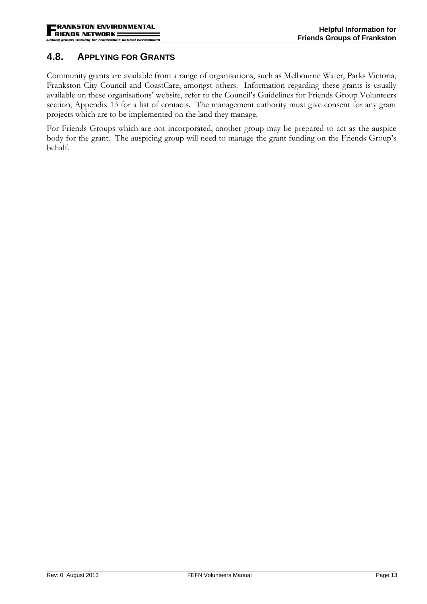#### **4.8. APPLYING FOR GRANTS**

Community grants are available from a range of organisations, such as Melbourne Water, Parks Victoria, Frankston City Council and CoastCare, amongst others. Information regarding these grants is usually available on these organisations' website, refer to the Council's Guidelines for Friends Group Volunteers section, Appendix 13 for a list of contacts. The management authority must give consent for any grant projects which are to be implemented on the land they manage.

For Friends Groups which are not incorporated, another group may be prepared to act as the auspice body for the grant. The auspicing group will need to manage the grant funding on the Friends Group's behalf.